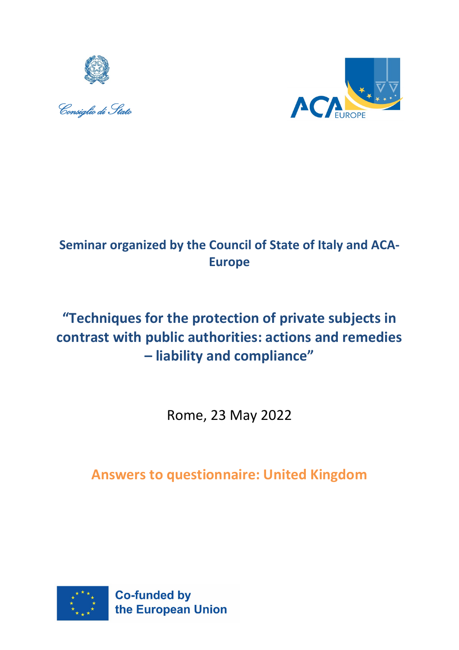





## **Seminar organized by the Council of State of Italy and ACA-Europe**

# **"Techniques for the protection of private subjects in contrast with public authorities: actions and remedies – liability and compliance"**

Rome, 23 May 2022

## **Answers to questionnaire: United Kingdom**

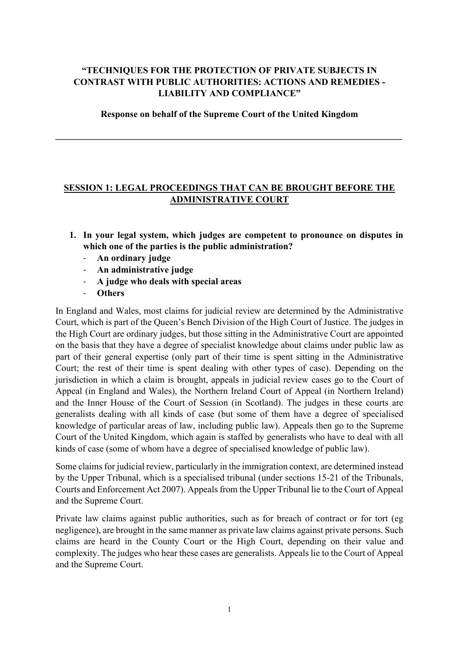#### **"TECHNIQUES FOR THE PROTECTION OF PRIVATE SUBJECTS IN CONTRAST WITH PUBLIC AUTHORITIES: ACTIONS AND REMEDIES - LIABILITY AND COMPLIANCE"**

**Response on behalf of the Supreme Court of the United Kingdom**

**\_\_\_\_\_\_\_\_\_\_\_\_\_\_\_\_\_\_\_\_\_\_\_\_\_\_\_\_\_\_\_\_\_\_\_\_\_\_\_\_\_\_\_\_\_\_\_\_\_\_\_\_\_\_\_\_\_\_\_\_\_\_\_\_\_\_\_\_\_\_\_\_\_\_\_** 

#### **SESSION 1: LEGAL PROCEEDINGS THAT CAN BE BROUGHT BEFORE THE ADMINISTRATIVE COURT**

- **1. In your legal system, which judges are competent to pronounce on disputes in which one of the parties is the public administration?**
	- **An ordinary judge**
	- **An administrative judge**
	- **A judge who deals with special areas**
	- **Others**

In England and Wales, most claims for judicial review are determined by the Administrative Court, which is part of the Queen's Bench Division of the High Court of Justice. The judges in the High Court are ordinary judges, but those sitting in the Administrative Court are appointed on the basis that they have a degree of specialist knowledge about claims under public law as part of their general expertise (only part of their time is spent sitting in the Administrative Court; the rest of their time is spent dealing with other types of case). Depending on the jurisdiction in which a claim is brought, appeals in judicial review cases go to the Court of Appeal (in England and Wales), the Northern Ireland Court of Appeal (in Northern Ireland) and the Inner House of the Court of Session (in Scotland). The judges in these courts are generalists dealing with all kinds of case (but some of them have a degree of specialised knowledge of particular areas of law, including public law). Appeals then go to the Supreme Court of the United Kingdom, which again is staffed by generalists who have to deal with all kinds of case (some of whom have a degree of specialised knowledge of public law).

Some claims for judicial review, particularly in the immigration context, are determined instead by the Upper Tribunal, which is a specialised tribunal (under sections 15-21 of the Tribunals, Courts and Enforcement Act 2007). Appeals from the Upper Tribunal lie to the Court of Appeal and the Supreme Court.

Private law claims against public authorities, such as for breach of contract or for tort (eg negligence), are brought in the same manner as private law claims against private persons. Such claims are heard in the County Court or the High Court, depending on their value and complexity. The judges who hear these cases are generalists. Appeals lie to the Court of Appeal and the Supreme Court.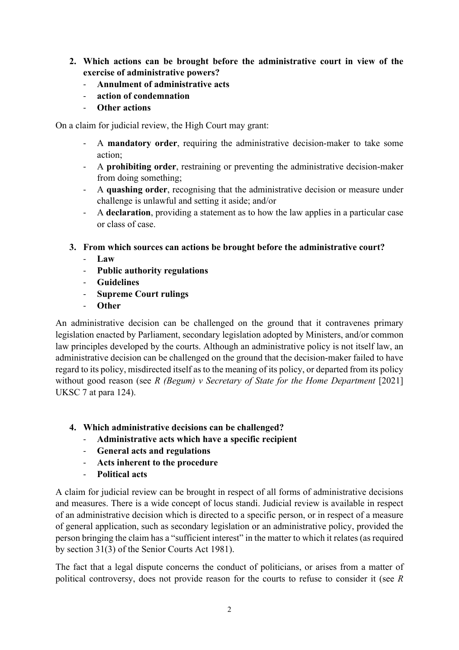- **2. Which actions can be brought before the administrative court in view of the exercise of administrative powers?**
	- **Annulment of administrative acts**
	- **action of condemnation**
	- **Other actions**

On a claim for judicial review, the High Court may grant:

- A **mandatory order**, requiring the administrative decision-maker to take some action;
- A **prohibiting order**, restraining or preventing the administrative decision-maker from doing something;
- A **quashing order**, recognising that the administrative decision or measure under challenge is unlawful and setting it aside; and/or
- A **declaration**, providing a statement as to how the law applies in a particular case or class of case.
- **3. From which sources can actions be brought before the administrative court?**
	- **Law**
	- **Public authority regulations**
	- **Guidelines**
	- **Supreme Court rulings**
	- **Other**

An administrative decision can be challenged on the ground that it contravenes primary legislation enacted by Parliament, secondary legislation adopted by Ministers, and/or common law principles developed by the courts. Although an administrative policy is not itself law, an administrative decision can be challenged on the ground that the decision-maker failed to have regard to its policy, misdirected itself as to the meaning of its policy, or departed from its policy without good reason (see *R (Begum) v Secretary of State for the Home Department* [2021] UKSC 7 at para 124).

- **4. Which administrative decisions can be challenged?**
	- **Administrative acts which have a specific recipient**
	- **General acts and regulations**
	- **Acts inherent to the procedure**
	- **Political acts**

A claim for judicial review can be brought in respect of all forms of administrative decisions and measures. There is a wide concept of locus standi. Judicial review is available in respect of an administrative decision which is directed to a specific person, or in respect of a measure of general application, such as secondary legislation or an administrative policy, provided the person bringing the claim has a "sufficient interest" in the matter to which it relates (as required by section 31(3) of the Senior Courts Act 1981).

The fact that a legal dispute concerns the conduct of politicians, or arises from a matter of political controversy, does not provide reason for the courts to refuse to consider it (see *R*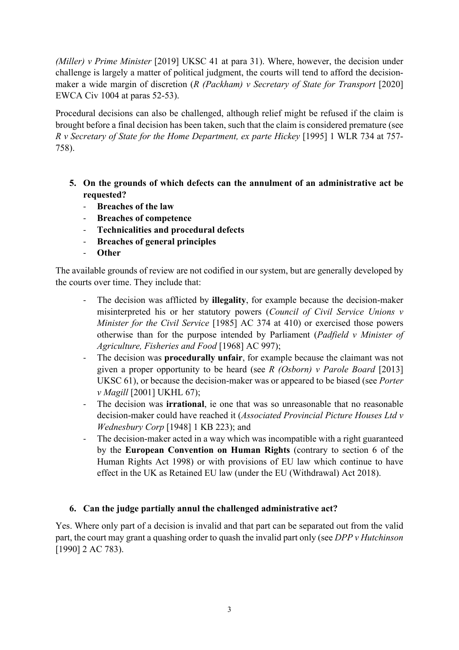*(Miller) v Prime Minister* [2019] UKSC 41 at para 31). Where, however, the decision under challenge is largely a matter of political judgment, the courts will tend to afford the decisionmaker a wide margin of discretion (*R (Packham) v Secretary of State for Transport* [2020] EWCA Civ 1004 at paras 52-53).

Procedural decisions can also be challenged, although relief might be refused if the claim is brought before a final decision has been taken, such that the claim is considered premature (see *R v Secretary of State for the Home Department, ex parte Hickey* [1995] 1 WLR 734 at 757- 758).

- **5. On the grounds of which defects can the annulment of an administrative act be requested?**
	- **Breaches of the law**
	- **Breaches of competence**
	- **Technicalities and procedural defects**
	- **Breaches of general principles**
	- **Other**

The available grounds of review are not codified in our system, but are generally developed by the courts over time. They include that:

- The decision was afflicted by **illegality**, for example because the decision-maker misinterpreted his or her statutory powers (*Council of Civil Service Unions v Minister for the Civil Service* [1985] AC 374 at 410) or exercised those powers otherwise than for the purpose intended by Parliament (*Padfield v Minister of Agriculture, Fisheries and Food* [1968] AC 997);
- The decision was **procedurally unfair**, for example because the claimant was not given a proper opportunity to be heard (see *R (Osborn) v Parole Board* [2013] UKSC 61), or because the decision-maker was or appeared to be biased (see *Porter v Magill* [2001] UKHL 67);
- The decision was **irrational**, ie one that was so unreasonable that no reasonable decision-maker could have reached it (*Associated Provincial Picture Houses Ltd v Wednesbury Corp* [1948] 1 KB 223); and
- The decision-maker acted in a way which was incompatible with a right guaranteed by the **European Convention on Human Rights** (contrary to section 6 of the Human Rights Act 1998) or with provisions of EU law which continue to have effect in the UK as Retained EU law (under the EU (Withdrawal) Act 2018).

## **6. Can the judge partially annul the challenged administrative act?**

Yes. Where only part of a decision is invalid and that part can be separated out from the valid part, the court may grant a quashing order to quash the invalid part only (see *DPP v Hutchinson*  [1990] 2 AC 783).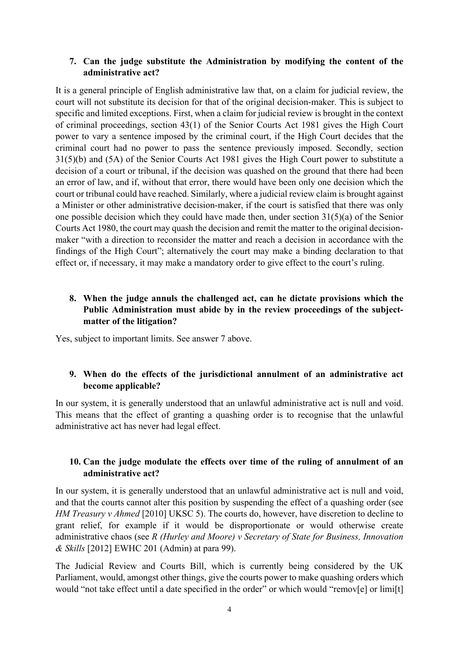#### **7. Can the judge substitute the Administration by modifying the content of the administrative act?**

It is a general principle of English administrative law that, on a claim for judicial review, the court will not substitute its decision for that of the original decision-maker. This is subject to specific and limited exceptions. First, when a claim for judicial review is brought in the context of criminal proceedings, section 43(1) of the Senior Courts Act 1981 gives the High Court power to vary a sentence imposed by the criminal court, if the High Court decides that the criminal court had no power to pass the sentence previously imposed. Secondly, section 31(5)(b) and (5A) of the Senior Courts Act 1981 gives the High Court power to substitute a decision of a court or tribunal, if the decision was quashed on the ground that there had been an error of law, and if, without that error, there would have been only one decision which the court or tribunal could have reached. Similarly, where a judicial review claim is brought against a Minister or other administrative decision-maker, if the court is satisfied that there was only one possible decision which they could have made then, under section  $31(5)(a)$  of the Senior Courts Act 1980, the court may quash the decision and remit the matter to the original decisionmaker "with a direction to reconsider the matter and reach a decision in accordance with the findings of the High Court"; alternatively the court may make a binding declaration to that effect or, if necessary, it may make a mandatory order to give effect to the court's ruling.

## **8. When the judge annuls the challenged act, can he dictate provisions which the Public Administration must abide by in the review proceedings of the subjectmatter of the litigation?**

Yes, subject to important limits. See answer 7 above.

#### **9. When do the effects of the jurisdictional annulment of an administrative act become applicable?**

In our system, it is generally understood that an unlawful administrative act is null and void. This means that the effect of granting a quashing order is to recognise that the unlawful administrative act has never had legal effect.

#### **10. Can the judge modulate the effects over time of the ruling of annulment of an administrative act?**

In our system, it is generally understood that an unlawful administrative act is null and void, and that the courts cannot alter this position by suspending the effect of a quashing order (see *HM Treasury v Ahmed* [2010] UKSC 5). The courts do, however, have discretion to decline to grant relief, for example if it would be disproportionate or would otherwise create administrative chaos (see *R (Hurley and Moore) v Secretary of State for Business, Innovation & Skills* [2012] EWHC 201 (Admin) at para 99).

The Judicial Review and Courts Bill, which is currently being considered by the UK Parliament, would, amongst other things, give the courts power to make quashing orders which would "not take effect until a date specified in the order" or which would "remov[e] or limi[t]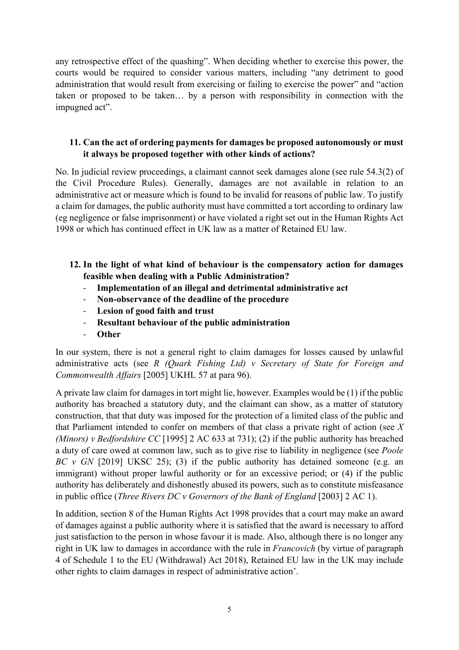any retrospective effect of the quashing". When deciding whether to exercise this power, the courts would be required to consider various matters, including "any detriment to good administration that would result from exercising or failing to exercise the power" and "action taken or proposed to be taken… by a person with responsibility in connection with the impugned act".

#### **11. Can the act of ordering payments for damages be proposed autonomously or must it always be proposed together with other kinds of actions?**

No. In judicial review proceedings, a claimant cannot seek damages alone (see rule 54.3(2) of the Civil Procedure Rules). Generally, damages are not available in relation to an administrative act or measure which is found to be invalid for reasons of public law. To justify a claim for damages, the public authority must have committed a tort according to ordinary law (eg negligence or false imprisonment) or have violated a right set out in the Human Rights Act 1998 or which has continued effect in UK law as a matter of Retained EU law.

#### **12. In the light of what kind of behaviour is the compensatory action for damages feasible when dealing with a Public Administration?**

- **Implementation of an illegal and detrimental administrative act**
- **Non-observance of the deadline of the procedure**
- Lesion of good faith and trust
- **Resultant behaviour of the public administration**
- **Other**

In our system, there is not a general right to claim damages for losses caused by unlawful administrative acts (see *R (Quark Fishing Ltd) v Secretary of State for Foreign and Commonwealth Affairs* [2005] UKHL 57 at para 96).

A private law claim for damages in tort might lie, however. Examples would be (1) if the public authority has breached a statutory duty, and the claimant can show, as a matter of statutory construction, that that duty was imposed for the protection of a limited class of the public and that Parliament intended to confer on members of that class a private right of action (see *X (Minors) v Bedfordshire CC* [1995] 2 AC 633 at 731); (2) if the public authority has breached a duty of care owed at common law, such as to give rise to liability in negligence (see *Poole BC v GN* [2019] UKSC 25); (3) if the public authority has detained someone (e.g. an immigrant) without proper lawful authority or for an excessive period; or (4) if the public authority has deliberately and dishonestly abused its powers, such as to constitute misfeasance in public office (*Three Rivers DC v Governors of the Bank of England* [2003] 2 AC 1).

In addition, section 8 of the Human Rights Act 1998 provides that a court may make an award of damages against a public authority where it is satisfied that the award is necessary to afford just satisfaction to the person in whose favour it is made. Also, although there is no longer any right in UK law to damages in accordance with the rule in *Francovich* (by virtue of paragraph 4 of Schedule 1 to the EU (Withdrawal) Act 2018), Retained EU law in the UK may include other rights to claim damages in respect of administrative action'.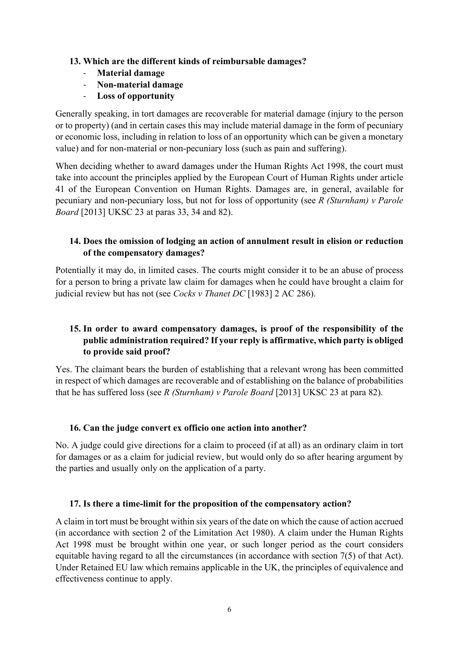#### **13. Which are the different kinds of reimbursable damages?**

- **Material damage**
- **Non-material damage**
- **Loss of opportunity**

Generally speaking, in tort damages are recoverable for material damage (injury to the person or to property) (and in certain cases this may include material damage in the form of pecuniary or economic loss, including in relation to loss of an opportunity which can be given a monetary value) and for non-material or non-pecuniary loss (such as pain and suffering).

When deciding whether to award damages under the Human Rights Act 1998, the court must take into account the principles applied by the European Court of Human Rights under article 41 of the European Convention on Human Rights. Damages are, in general, available for pecuniary and non-pecuniary loss, but not for loss of opportunity (see *R (Sturnham) v Parole Board* [2013] UKSC 23 at paras 33, 34 and 82).

## **14. Does the omission of lodging an action of annulment result in elision or reduction of the compensatory damages?**

Potentially it may do, in limited cases. The courts might consider it to be an abuse of process for a person to bring a private law claim for damages when he could have brought a claim for judicial review but has not (see *Cocks v Thanet DC* [1983] 2 AC 286).

## **15. In order to award compensatory damages, is proof of the responsibility of the public administration required? If your reply is affirmative, which party is obliged to provide said proof?**

Yes. The claimant bears the burden of establishing that a relevant wrong has been committed in respect of which damages are recoverable and of establishing on the balance of probabilities that he has suffered loss (see *R (Sturnham) v Parole Board* [2013] UKSC 23 at para 82).

## **16. Can the judge convert ex officio one action into another?**

No. A judge could give directions for a claim to proceed (if at all) as an ordinary claim in tort for damages or as a claim for judicial review, but would only do so after hearing argument by the parties and usually only on the application of a party.

#### **17. Is there a time-limit for the proposition of the compensatory action?**

A claim in tort must be brought within six years of the date on which the cause of action accrued (in accordance with section 2 of the Limitation Act 1980). A claim under the Human Rights Act 1998 must be brought within one year, or such longer period as the court considers equitable having regard to all the circumstances (in accordance with section 7(5) of that Act). Under Retained EU law which remains applicable in the UK, the principles of equivalence and effectiveness continue to apply.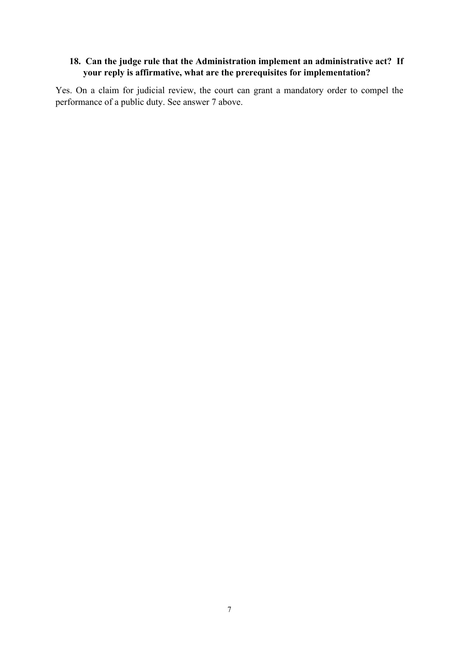#### **18. Can the judge rule that the Administration implement an administrative act? If your reply is affirmative, what are the prerequisites for implementation?**

Yes. On a claim for judicial review, the court can grant a mandatory order to compel the performance of a public duty. See answer 7 above.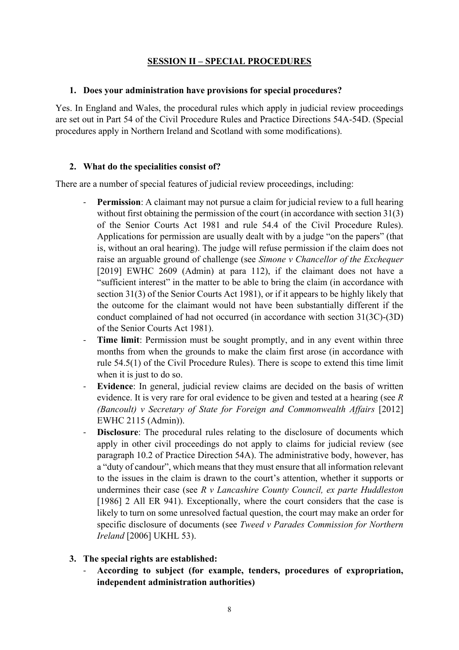#### **SESSION II – SPECIAL PROCEDURES**

#### **1. Does your administration have provisions for special procedures?**

Yes. In England and Wales, the procedural rules which apply in judicial review proceedings are set out in Part 54 of the Civil Procedure Rules and Practice Directions 54A-54D. (Special procedures apply in Northern Ireland and Scotland with some modifications).

#### **2. What do the specialities consist of?**

There are a number of special features of judicial review proceedings, including:

- **Permission**: A claimant may not pursue a claim for judicial review to a full hearing without first obtaining the permission of the court (in accordance with section 31(3) of the Senior Courts Act 1981 and rule 54.4 of the Civil Procedure Rules). Applications for permission are usually dealt with by a judge "on the papers" (that is, without an oral hearing). The judge will refuse permission if the claim does not raise an arguable ground of challenge (see *Simone v Chancellor of the Exchequer*  [2019] EWHC 2609 (Admin) at para 112), if the claimant does not have a "sufficient interest" in the matter to be able to bring the claim (in accordance with section 31(3) of the Senior Courts Act 1981), or if it appears to be highly likely that the outcome for the claimant would not have been substantially different if the conduct complained of had not occurred (in accordance with section 31(3C)-(3D) of the Senior Courts Act 1981).
- **Time limit:** Permission must be sought promptly, and in any event within three months from when the grounds to make the claim first arose (in accordance with rule 54.5(1) of the Civil Procedure Rules). There is scope to extend this time limit when it is just to do so.
- **Evidence**: In general, judicial review claims are decided on the basis of written evidence. It is very rare for oral evidence to be given and tested at a hearing (see *R (Bancoult) v Secretary of State for Foreign and Commonwealth Affairs* [2012] EWHC 2115 (Admin)).
- **Disclosure**: The procedural rules relating to the disclosure of documents which apply in other civil proceedings do not apply to claims for judicial review (see paragraph 10.2 of Practice Direction 54A). The administrative body, however, has a "duty of candour", which means that they must ensure that all information relevant to the issues in the claim is drawn to the court's attention, whether it supports or undermines their case (see *R v Lancashire County Council, ex parte Huddleston* [1986] 2 All ER 941). Exceptionally, where the court considers that the case is likely to turn on some unresolved factual question, the court may make an order for specific disclosure of documents (see *Tweed v Parades Commission for Northern Ireland* [2006] UKHL 53).
- **3. The special rights are established:**
	- **According to subject (for example, tenders, procedures of expropriation, independent administration authorities)**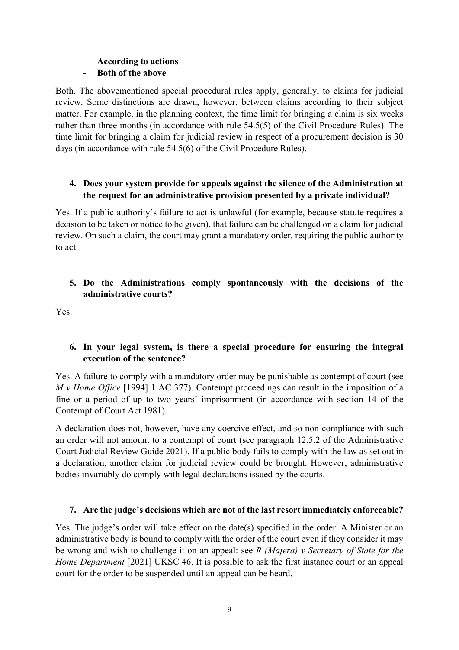#### - **According to actions**

## - **Both of the above**

Both. The abovementioned special procedural rules apply, generally, to claims for judicial review. Some distinctions are drawn, however, between claims according to their subject matter. For example, in the planning context, the time limit for bringing a claim is six weeks rather than three months (in accordance with rule 54.5(5) of the Civil Procedure Rules). The time limit for bringing a claim for judicial review in respect of a procurement decision is 30 days (in accordance with rule 54.5(6) of the Civil Procedure Rules).

#### **4. Does your system provide for appeals against the silence of the Administration at the request for an administrative provision presented by a private individual?**

Yes. If a public authority's failure to act is unlawful (for example, because statute requires a decision to be taken or notice to be given), that failure can be challenged on a claim for judicial review. On such a claim, the court may grant a mandatory order, requiring the public authority to act.

#### **5. Do the Administrations comply spontaneously with the decisions of the administrative courts?**

Yes.

## **6. In your legal system, is there a special procedure for ensuring the integral execution of the sentence?**

Yes. A failure to comply with a mandatory order may be punishable as contempt of court (see *M v Home Office* [1994] 1 AC 377). Contempt proceedings can result in the imposition of a fine or a period of up to two years' imprisonment (in accordance with section 14 of the Contempt of Court Act 1981).

A declaration does not, however, have any coercive effect, and so non-compliance with such an order will not amount to a contempt of court (see paragraph 12.5.2 of the Administrative Court Judicial Review Guide 2021). If a public body fails to comply with the law as set out in a declaration, another claim for judicial review could be brought. However, administrative bodies invariably do comply with legal declarations issued by the courts.

## **7. Are the judge's decisions which are not of the last resort immediately enforceable?**

Yes. The judge's order will take effect on the date(s) specified in the order. A Minister or an administrative body is bound to comply with the order of the court even if they consider it may be wrong and wish to challenge it on an appeal: see *R (Majera) v Secretary of State for the Home Department* [2021] UKSC 46. It is possible to ask the first instance court or an appeal court for the order to be suspended until an appeal can be heard.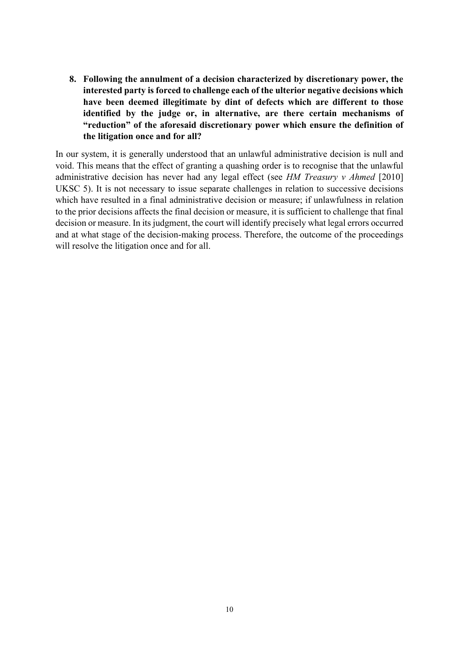**8. Following the annulment of a decision characterized by discretionary power, the interested party is forced to challenge each of the ulterior negative decisions which have been deemed illegitimate by dint of defects which are different to those identified by the judge or, in alternative, are there certain mechanisms of "reduction" of the aforesaid discretionary power which ensure the definition of the litigation once and for all?**

In our system, it is generally understood that an unlawful administrative decision is null and void. This means that the effect of granting a quashing order is to recognise that the unlawful administrative decision has never had any legal effect (see *HM Treasury v Ahmed* [2010] UKSC 5). It is not necessary to issue separate challenges in relation to successive decisions which have resulted in a final administrative decision or measure; if unlawfulness in relation to the prior decisions affects the final decision or measure, it is sufficient to challenge that final decision or measure. In its judgment, the court will identify precisely what legal errors occurred and at what stage of the decision-making process. Therefore, the outcome of the proceedings will resolve the litigation once and for all.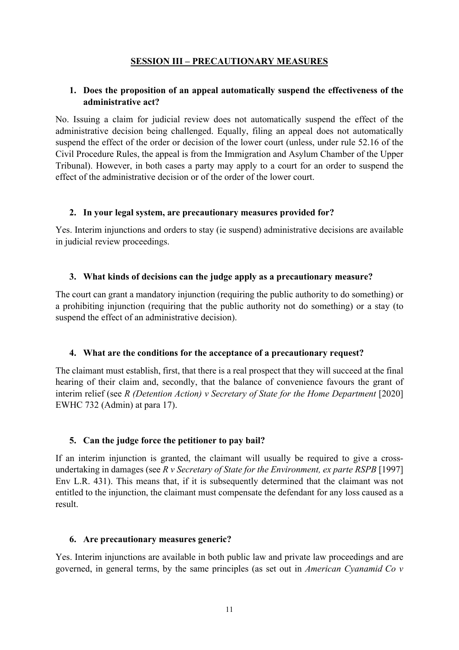#### **SESSION III – PRECAUTIONARY MEASURES**

#### **1. Does the proposition of an appeal automatically suspend the effectiveness of the administrative act?**

No. Issuing a claim for judicial review does not automatically suspend the effect of the administrative decision being challenged. Equally, filing an appeal does not automatically suspend the effect of the order or decision of the lower court (unless, under rule 52.16 of the Civil Procedure Rules, the appeal is from the Immigration and Asylum Chamber of the Upper Tribunal). However, in both cases a party may apply to a court for an order to suspend the effect of the administrative decision or of the order of the lower court.

#### **2. In your legal system, are precautionary measures provided for?**

Yes. Interim injunctions and orders to stay (ie suspend) administrative decisions are available in judicial review proceedings.

#### **3. What kinds of decisions can the judge apply as a precautionary measure?**

The court can grant a mandatory injunction (requiring the public authority to do something) or a prohibiting injunction (requiring that the public authority not do something) or a stay (to suspend the effect of an administrative decision).

#### **4. What are the conditions for the acceptance of a precautionary request?**

The claimant must establish, first, that there is a real prospect that they will succeed at the final hearing of their claim and, secondly, that the balance of convenience favours the grant of interim relief (see *R (Detention Action) v Secretary of State for the Home Department* [2020] EWHC 732 (Admin) at para 17).

#### **5. Can the judge force the petitioner to pay bail?**

If an interim injunction is granted, the claimant will usually be required to give a crossundertaking in damages (see *R v Secretary of State for the Environment, ex parte RSPB* [1997] Env L.R. 431). This means that, if it is subsequently determined that the claimant was not entitled to the injunction, the claimant must compensate the defendant for any loss caused as a result.

#### **6. Are precautionary measures generic?**

Yes. Interim injunctions are available in both public law and private law proceedings and are governed, in general terms, by the same principles (as set out in *American Cyanamid Co v*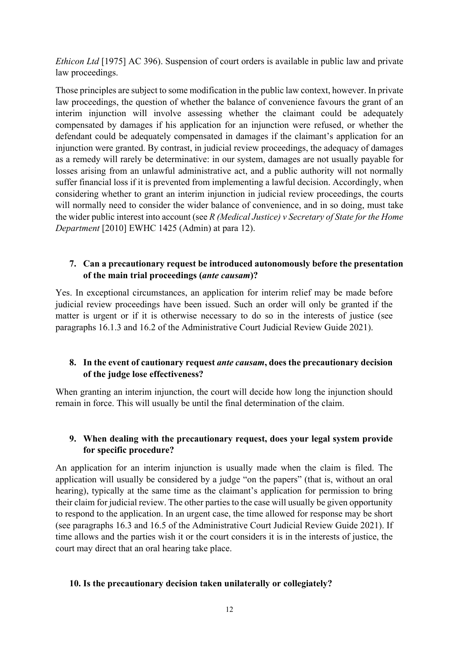*Ethicon Ltd* [1975] AC 396). Suspension of court orders is available in public law and private law proceedings.

Those principles are subject to some modification in the public law context, however. In private law proceedings, the question of whether the balance of convenience favours the grant of an interim injunction will involve assessing whether the claimant could be adequately compensated by damages if his application for an injunction were refused, or whether the defendant could be adequately compensated in damages if the claimant's application for an injunction were granted. By contrast, in judicial review proceedings, the adequacy of damages as a remedy will rarely be determinative: in our system, damages are not usually payable for losses arising from an unlawful administrative act, and a public authority will not normally suffer financial loss if it is prevented from implementing a lawful decision. Accordingly, when considering whether to grant an interim injunction in judicial review proceedings, the courts will normally need to consider the wider balance of convenience, and in so doing, must take the wider public interest into account (see *R (Medical Justice) v Secretary of State for the Home Department* [2010] EWHC 1425 (Admin) at para 12).

#### **7. Can a precautionary request be introduced autonomously before the presentation of the main trial proceedings (***ante causam***)?**

Yes. In exceptional circumstances, an application for interim relief may be made before judicial review proceedings have been issued. Such an order will only be granted if the matter is urgent or if it is otherwise necessary to do so in the interests of justice (see paragraphs 16.1.3 and 16.2 of the Administrative Court Judicial Review Guide 2021).

#### **8. In the event of cautionary request** *ante causam***, does the precautionary decision of the judge lose effectiveness?**

When granting an interim injunction, the court will decide how long the injunction should remain in force. This will usually be until the final determination of the claim.

#### **9. When dealing with the precautionary request, does your legal system provide for specific procedure?**

An application for an interim injunction is usually made when the claim is filed. The application will usually be considered by a judge "on the papers" (that is, without an oral hearing), typically at the same time as the claimant's application for permission to bring their claim for judicial review. The other parties to the case will usually be given opportunity to respond to the application. In an urgent case, the time allowed for response may be short (see paragraphs 16.3 and 16.5 of the Administrative Court Judicial Review Guide 2021). If time allows and the parties wish it or the court considers it is in the interests of justice, the court may direct that an oral hearing take place.

#### **10. Is the precautionary decision taken unilaterally or collegiately?**